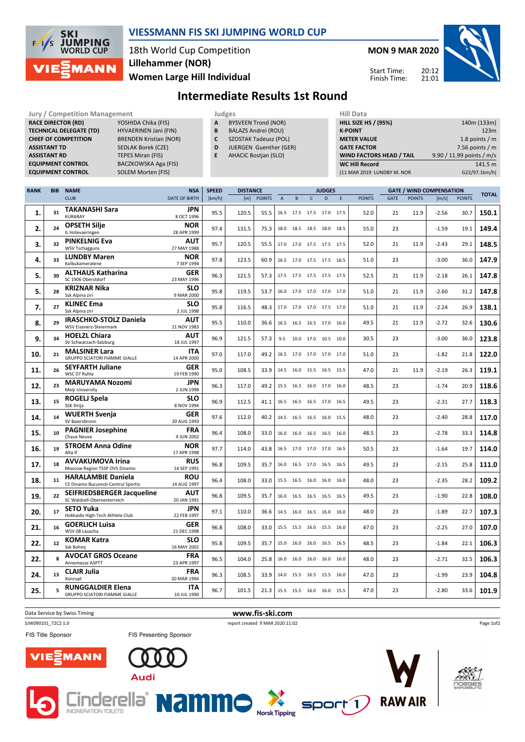

### **VIESSMANN FIS SKI JUMPING WORLD CUP**

18th World Cup Competition **Women Large Hill Individual Lillehammer (NOR)**

**MON 9 MAR 2020** 20:12 Start Time:

Finish Time:

21:01



# **Intermediate Results 1st Round**

|                                                                   |                     | <b>Jury / Competition Management</b>    |                           | Judges                      |                                  |               |              |      |      |           | <b>Hill Data</b>                |                    |               |                           |                                 |               |              |  |
|-------------------------------------------------------------------|---------------------|-----------------------------------------|---------------------------|-----------------------------|----------------------------------|---------------|--------------|------|------|-----------|---------------------------------|--------------------|---------------|---------------------------|---------------------------------|---------------|--------------|--|
|                                                                   |                     | <b>RACE DIRECTOR (RD)</b>               | A                         | BYSVEEN Trond (NOR)         |                                  |               |              |      |      |           | <b>HILL SIZE HS / (95%)</b>     |                    |               |                           | 140m (133m)                     |               |              |  |
| <b>TECHNICAL DELEGATE (TD)</b><br>В<br>HYVAERINEN Jani (FIN)      |                     |                                         |                           |                             | BALAZS Andrei (ROU)              |               |              |      |      |           |                                 | <b>K-POINT</b>     |               |                           |                                 | 123m          |              |  |
| <b>CHIEF OF COMPETITION</b><br><b>BRENDEN Kristian (NOR)</b><br>C |                     |                                         |                           |                             | <b>SZOSTAK Tadeusz (POL)</b>     |               |              |      |      |           |                                 | <b>METER VALUE</b> |               |                           | 1.8 points $/m$                 |               |              |  |
|                                                                   | <b>ASSISTANT TD</b> |                                         | <b>SEDLAK Borek (CZE)</b> | D                           | JUERGEN Guenther (GER)           |               |              |      |      |           |                                 | <b>GATE FACTOR</b> |               |                           | 7.56 points $/m$                |               |              |  |
|                                                                   | <b>ASSISTANT RD</b> |                                         | E                         | <b>AHACIC Bostjan (SLO)</b> |                                  |               |              |      |      |           | <b>WIND FACTORS HEAD / TAIL</b> |                    |               | 9.90 / 11.99 points / m/s |                                 |               |              |  |
|                                                                   |                     | <b>EQUIPMENT CONTROL</b>                |                           |                             |                                  |               |              |      |      |           | <b>WC Hill Record</b>           |                    |               | 141.5 m                   |                                 |               |              |  |
| <b>EQUIPMENT CONTROL</b><br>SOLEM Morten (FIS)                    |                     |                                         |                           |                             |                                  |               |              |      |      |           | (11 MAR 2019 LUNDBY M. NOR      |                    | G22/97.1km/h) |                           |                                 |               |              |  |
|                                                                   |                     |                                         |                           |                             |                                  |               |              |      |      |           |                                 |                    |               |                           |                                 |               |              |  |
| <b>RANK</b>                                                       | <b>BIB</b>          | <b>NAME</b>                             | <b>NSA</b>                | <b>SPEED</b>                | <b>DISTANCE</b><br><b>JUDGES</b> |               |              |      |      |           |                                 |                    |               |                           | <b>GATE / WIND COMPENSATION</b> |               |              |  |
|                                                                   |                     | <b>CLUB</b>                             | <b>DATE OF BIRTH</b>      | [km/h]                      | [m]                              | <b>POINTS</b> | $\mathsf{A}$ | B    |      | D         |                                 | <b>POINTS</b>      | <b>GATE</b>   | <b>POINTS</b>             | [m/s]                           | <b>POINTS</b> | <b>TOTAL</b> |  |
| ⊥.                                                                | 31                  | <b>TAKANASHI Sara</b><br><b>KURARAY</b> | JPN<br>8 OCT 1996         | 95.5                        | 120.5                            | 55.5          | 16.5         | 17.5 | 17.5 | 17.0 17.5 |                                 | 52.0               | 21            | 11.9                      | $-2.56$                         | 30.7          | 150.1        |  |
| 2.                                                                | 24                  | <b>OPSETH Silje</b><br>IL Holevaeringen | <b>NOR</b><br>28 APR 1999 | 97.4                        | 131.5                            | 75.3          | 18.0         | 18.5 | 18.5 |           | 18.0 18.5                       | 55.0               | 23            |                           | $-1.59$                         | 19.1          | 149.4        |  |
| 3.                                                                | 32                  | <b>PINKELNIG Eva</b>                    | <b>AUT</b>                | 95.7                        | 120.5                            | 55.5          | 17.0         | 17.0 | 17.5 | 17.5      | 17.5                            | 52.0               | 21            | 11.9                      | $-2.43$                         | 29.1          | 148.5        |  |

|     |          | il Holevaeringen                                                 | 28 APR 1999               |      |       |      |                          |  |      |    |      |         |      |       |
|-----|----------|------------------------------------------------------------------|---------------------------|------|-------|------|--------------------------|--|------|----|------|---------|------|-------|
| 3.  | 32       | <b>PINKELNIG Eva</b><br><b>WSV Tschagguns</b>                    | <b>AUT</b><br>27 MAY 1988 | 95.7 | 120.5 | 55.5 | 17.0 17.0 17.5 17.5 17.5 |  | 52.0 | 21 | 11.9 | $-2.43$ | 29.1 | 148.5 |
| 4.  | 33       | <b>LUNDBY Maren</b><br>Kolbukameratene                           | <b>NOR</b><br>7 SEP 1994  | 97.8 | 123.5 | 60.9 | 16.5 17.0 17.5 17.5 16.5 |  | 51.0 | 23 |      | $-3.00$ | 36.0 | 147.9 |
| 5.  | 30       | <b>ALTHAUS Katharina</b><br>SC 1906 Oberstdorf                   | <b>GER</b><br>23 MAY 1996 | 96.3 | 121.5 | 57.3 | 17.5 17.5 17.5 17.5 17.5 |  | 52.5 | 21 | 11.9 | $-2.18$ | 26.1 | 147.8 |
| 5.  | 28       | <b>KRIZNAR Nika</b><br>Ssk Alpina ziri                           | <b>SLO</b><br>9 MAR 2000  | 95.8 | 119.5 | 53.7 | 16.0 17.0 17.0 17.0 17.0 |  | 51.0 | 21 | 11.9 | $-2.60$ | 31.2 | 147.8 |
| 7.  | 27       | <b>KLINEC Ema</b><br>Ssk Alpina ziri                             | <b>SLO</b><br>2 JUL 1998  | 95.8 | 116.5 | 48.3 | 17.0 17.0 17.0 17.5 17.0 |  | 51.0 | 21 | 11.9 | $-2.24$ | 26.9 | 138.1 |
| 8.  | 29       | <b>IRASCHKO-STOLZ Daniela</b><br>WSV Eisenerz-Steiermark         | <b>AUT</b><br>21 NOV 1983 | 95.5 | 110.0 | 36.6 | 16.5 16.5 16.5 17.0 16.0 |  | 49.5 | 21 | 11.9 | $-2.72$ | 32.6 | 130.6 |
| 9.  | 34       | <b>HOELZL Chiara</b><br>SV Schwarzach-Salzburg                   | <b>AUT</b><br>18 JUL 1997 | 96.9 | 121.5 | 57.3 | 9.5 10.0 17.0 10.5 10.0  |  | 30.5 | 23 |      | $-3.00$ | 36.0 | 123.8 |
| 10. | 21       | <b>MALSINER Lara</b><br><b>GRUPPO SCIATORI FIAMME GIALLE</b>     | ITA<br>14 APR 2000        | 97.0 | 117.0 | 49.2 | 16.5 17.0 17.0 17.0 17.0 |  | 51.0 | 23 |      | $-1.82$ | 21.8 | 122.0 |
| 11. | 26       | <b>SEYFARTH Juliane</b><br>WSC 07 Ruhla                          | <b>GER</b><br>19 FEB 1990 | 95.0 | 108.5 | 33.9 | 14.5 16.0 15.5 16.5 15.5 |  | 47.0 | 21 | 11.9 | $-2.19$ | 26.3 | 119.1 |
| 12. | 23       | <b>MARUYAMA Nozomi</b><br>Meiji University                       | JPN<br>2 JUN 1998         | 96.3 | 117.0 | 49.2 | 15.5 16.5 16.0 17.0 16.0 |  | 48.5 | 23 |      | $-1.74$ | 20.9 | 118.6 |
| 13. | 15       | <b>ROGELJ Spela</b><br>SSK Ilirija                               | <b>SLO</b><br>8 NOV 1994  | 96.9 | 112.5 | 41.1 | 16.5 16.5 16.5 17.0 16.5 |  | 49.5 | 23 |      | $-2.31$ | 27.7 | 118.3 |
| 14. | 14       | <b>WUERTH Svenja</b><br>SV Baiersbronn                           | <b>GER</b><br>20 AUG 1993 | 97.6 | 112.0 | 40.2 | 14.5 16.5 16.5 16.0 15.5 |  | 48.0 | 23 |      | $-2.40$ | 28.8 | 117.0 |
| 15. | 10       | <b>PAGNIER Josephine</b><br>Chaux Neuve                          | <b>FRA</b><br>4 JUN 2002  | 96.4 | 108.0 | 33.0 | 16.0 16.0 16.5 16.5 16.0 |  | 48.5 | 23 |      | $-2.78$ | 33.3 | 114.8 |
| 16. | 19       | <b>STROEM Anna Odine</b><br>Alta If                              | <b>NOR</b><br>17 APR 1998 | 97.7 | 114.0 | 43.8 | 16.5 17.0 17.0 17.0 16.5 |  | 50.5 | 23 |      | $-1.64$ | 19.7 | 114.0 |
| 17. | 18       | <b>AVVAKUMOVA Irina</b><br>Moscow Region TSSP OVS Dinamo         | <b>RUS</b><br>14 SEP 1991 | 96.8 | 109.5 | 35.7 | 16.0 16.5 17.0 16.5 16.5 |  | 49.5 | 23 |      | $-2.15$ | 25.8 | 111.0 |
| 18. | 11       | <b>HARALAMBIE Daniela</b><br>CS Dinamo Bucuresti-Centrul Sportiv | ROU<br>14 AUG 1997        | 96.4 | 108.0 | 33.0 | 15.5 16.5 16.0 16.0 16.0 |  | 48.0 | 23 |      | $-2.35$ | 28.2 | 109.2 |
| 19. | 22       | SEIFRIEDSBERGER Jacqueline<br>SC Waldzell-Oberoesterreich        | <b>AUT</b><br>20 JAN 1991 | 96.8 | 109.5 | 35.7 | 16.0 16.5 16.5 16.5 16.5 |  | 49.5 | 23 |      | $-1.90$ | 22.8 | 108.0 |
| 20. | 17       | <b>SETO Yuka</b><br>Hokkaido High-Tech Athlete Club              | JPN<br>22 FEB 1997        | 97.1 | 110.0 | 36.6 | 14.5 16.0 16.5 16.0 16.0 |  | 48.0 | 23 |      | $-1.89$ | 22.7 | 107.3 |
| 21. | 16       | <b>GOERLICH Luisa</b><br>WSV 08 Lauscha                          | GER<br>21 DEC 1998        | 96.8 | 108.0 | 33.0 | 15.5 15.5 16.0 15.5 16.0 |  | 47.0 | 23 |      | $-2.25$ | 27.0 | 107.0 |
| 22. | 12       | <b>KOMAR Katra</b><br>Ssk Bohini                                 | <b>SLO</b><br>16 MAY 2001 | 95.8 | 109.5 | 35.7 | 15.0 16.0 16.0 16.5 16.5 |  | 48.5 | 23 |      | $-1.84$ | 22.1 | 106.3 |
| 22. | <b>R</b> | <b>AVOCAT GROS Oceane</b><br>Annemasse ASPTT                     | <b>FRA</b><br>23 APR 1997 | 96.5 | 104.0 | 25.8 | 16.0 16.0 16.0 16.0 16.0 |  | 48.0 | 23 |      | $-2.71$ | 32.5 | 106.3 |
| 24. | 13       | <b>CLAIR Julia</b><br>Xonrupt                                    | <b>FRA</b><br>20 MAR 1994 | 96.3 | 108.5 | 33.9 | 14.0 15.5 16.5 15.5 16.0 |  | 47.0 | 23 |      | $-1.99$ | 23.9 | 104.8 |
| 25. | 5        | <b>RUNGGALDIER Elena</b><br><b>GRUPPO SCIATORI FIAMME GIALLE</b> | <b>ITA</b><br>10 JUL 1990 | 96.7 | 101.5 | 21.3 | 15.5 15.5 16.0 16.0 15.5 |  | 47.0 | 23 |      | $-2.80$ | 33.6 | 101.9 |
|     |          |                                                                  |                           |      |       |      |                          |  |      |    |      |         |      |       |

**Data Service by Swiss Timing WWW.fis-ski.com** 

SJW090101\_72C2 1.0 report created 9 MAR 2020 21:02

**Norsk Tipping** 

Page 1of2

FIS Title Sponsor